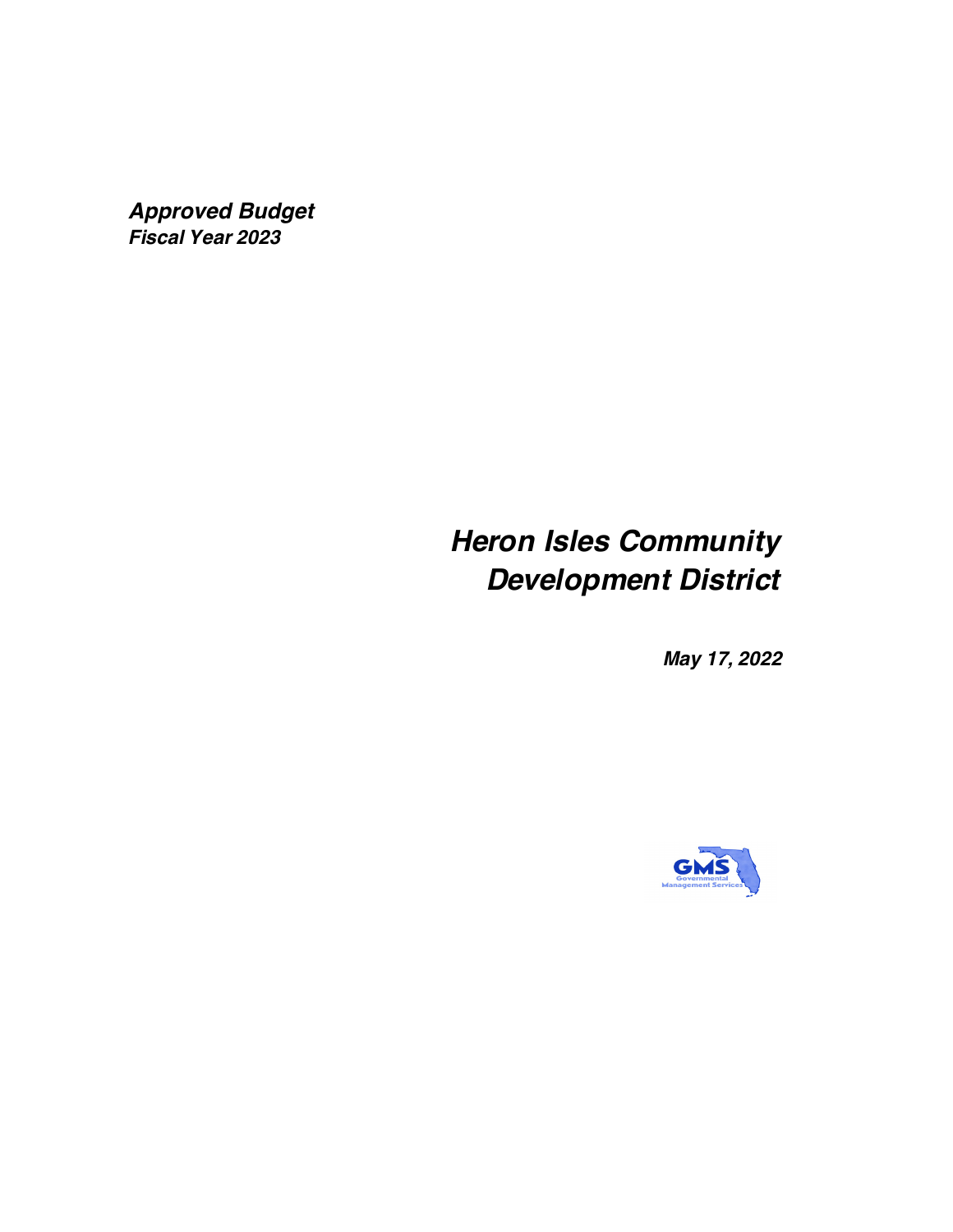*Approved Budget Fiscal Year 2023*

# *Heron Isles Community Development District*

*May 17, 2022*

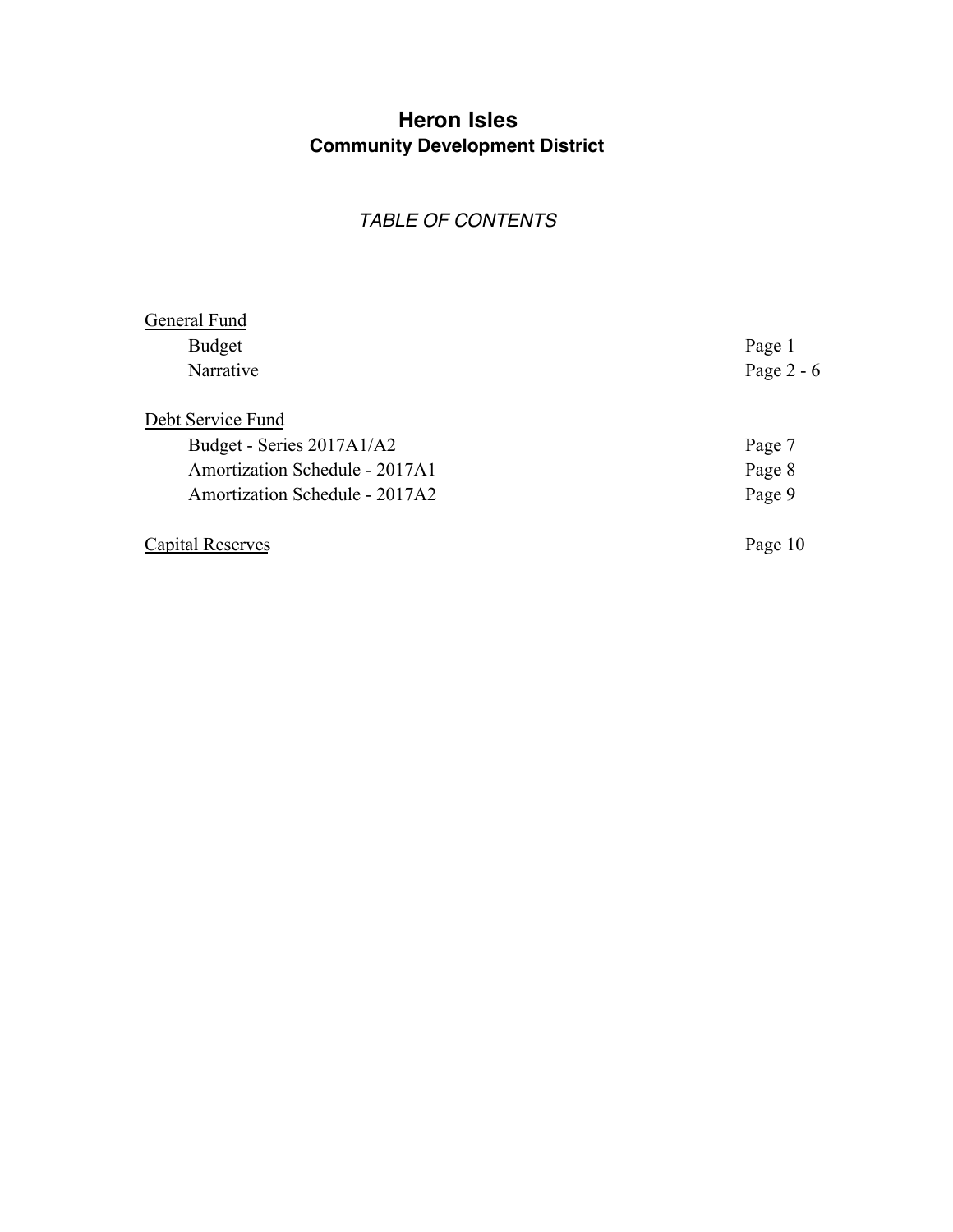### **Heron Isles Community Development District**

### *TABLE OF CONTENTS*

| General Fund                          |              |
|---------------------------------------|--------------|
| <b>Budget</b>                         | Page 1       |
| Narrative                             | Page $2 - 6$ |
| Debt Service Fund                     |              |
| Budget - Series 2017A1/A2             | Page 7       |
| <b>Amortization Schedule - 2017A1</b> | Page 8       |
| <b>Amortization Schedule - 2017A2</b> | Page 9       |
| Capital Reserves                      | Page 10      |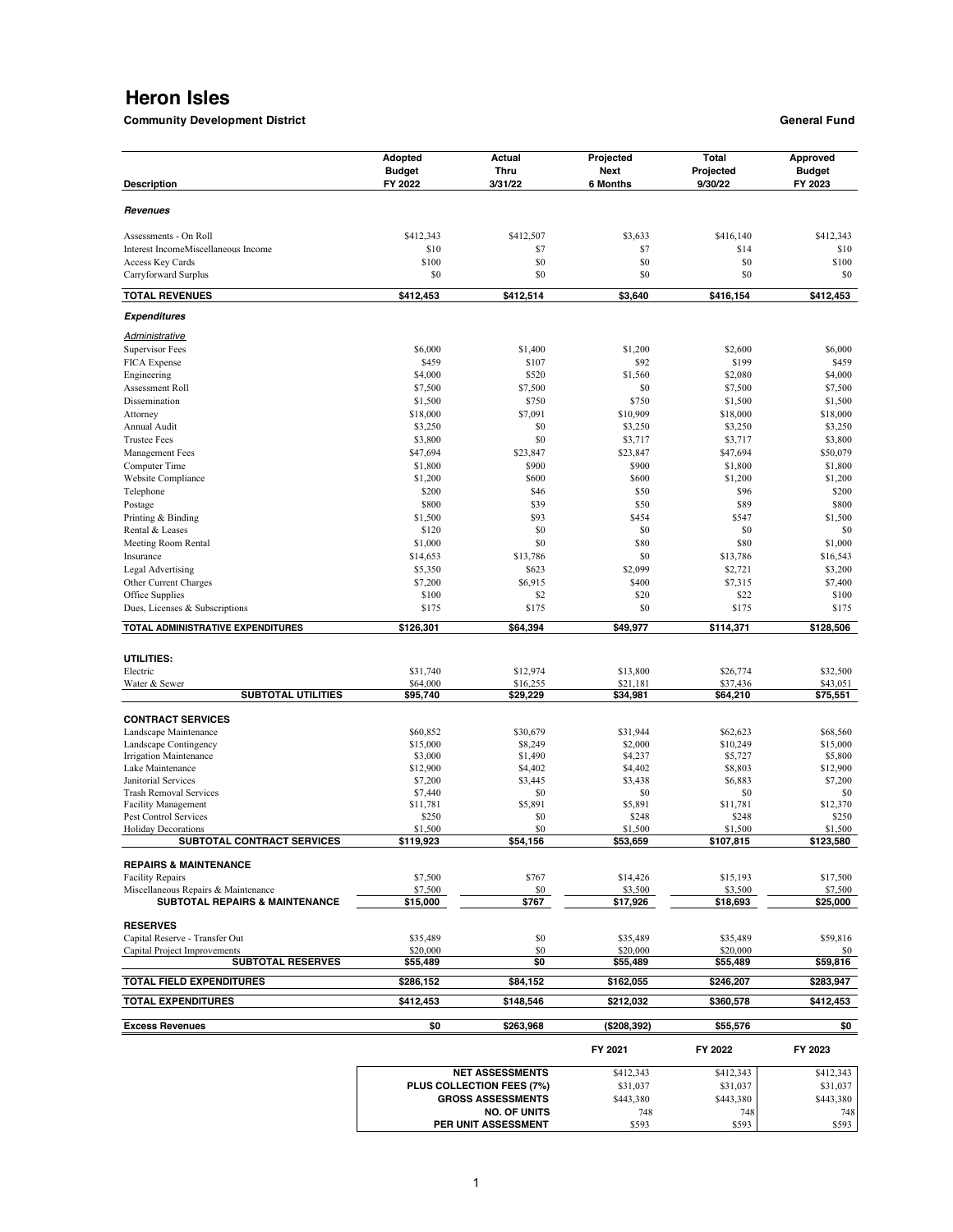**Community Development District General Fund** 

| <b>Description</b>                         | Adopted<br><b>Budget</b><br>FY 2022 | Actual<br><b>Thru</b><br>3/31/22    | Projected<br><b>Next</b><br>6 Months | Total<br>Projected<br>9/30/22 | Approved<br><b>Budget</b><br>FY 2023 |
|--------------------------------------------|-------------------------------------|-------------------------------------|--------------------------------------|-------------------------------|--------------------------------------|
| Revenues                                   |                                     |                                     |                                      |                               |                                      |
| Assessments - On Roll                      | \$412,343                           | \$412,507                           | \$3,633                              | \$416,140                     | \$412,343                            |
| Interest IncomeMiscellaneous Income        | \$10                                | \$7                                 | \$7                                  | \$14                          | \$10                                 |
| Access Key Cards                           | \$100                               | \$0                                 | \$0                                  | \$0                           | \$100                                |
| Carryforward Surplus                       | \$0                                 | \$0                                 | \$0                                  | \$0                           | \$0                                  |
| <b>TOTAL REVENUES</b>                      | \$412,453                           | \$412,514                           | \$3,640                              | \$416,154                     | \$412,453                            |
| <b>Expenditures</b>                        |                                     |                                     |                                      |                               |                                      |
| Administrative                             |                                     |                                     |                                      |                               |                                      |
| <b>Supervisor Fees</b>                     | \$6,000                             | \$1,400                             | \$1,200                              | \$2,600                       | \$6,000                              |
| FICA Expense                               | \$459                               | \$107                               | \$92                                 | \$199                         | \$459                                |
| Engineering<br>Assessment Roll             | \$4,000                             | \$520                               | \$1,560<br>\$0                       | \$2,080<br>\$7,500            | \$4,000<br>\$7,500                   |
| Dissemination                              | \$7,500<br>\$1,500                  | \$7,500<br>\$750                    | \$750                                | \$1,500                       | \$1,500                              |
| Attorney                                   | \$18,000                            | \$7,091                             | \$10,909                             | \$18,000                      | \$18,000                             |
| Annual Audit                               | \$3,250                             | \$0                                 | \$3,250                              | \$3,250                       | \$3,250                              |
| <b>Trustee Fees</b>                        | \$3,800                             | \$0                                 | \$3,717                              | \$3,717                       | \$3,800                              |
| Management Fees                            | \$47,694                            | \$23,847                            | \$23,847                             | \$47,694                      | \$50,079                             |
| Computer Time                              | \$1,800                             | \$900                               | \$900                                | \$1,800                       | \$1,800                              |
| Website Compliance                         | \$1,200                             | \$600                               | \$600                                | \$1,200                       | \$1,200                              |
| Telephone                                  | \$200                               | \$46                                | \$50                                 | \$96                          | \$200                                |
| Postage                                    | \$800                               | \$39                                | \$50                                 | \$89                          | \$800                                |
| Printing & Binding<br>Rental & Leases      | \$1,500<br>\$120                    | \$93<br>\$0                         | \$454<br>\$0                         | \$547<br>\$0                  | \$1,500<br>\$0                       |
| Meeting Room Rental                        | \$1,000                             | \$0                                 | \$80                                 | \$80                          | \$1,000                              |
| Insurance                                  | \$14,653                            | \$13,786                            | \$0                                  | \$13,786                      | \$16,543                             |
| Legal Advertising                          | \$5,350                             | \$623                               | \$2,099                              | \$2,721                       | \$3,200                              |
| Other Current Charges                      | \$7,200                             | \$6,915                             | \$400                                | \$7,315                       | \$7,400                              |
| Office Supplies                            | \$100                               | \$2                                 | \$20                                 | \$22                          | \$100                                |
| Dues, Licenses & Subscriptions             | \$175                               | \$175                               | \$0                                  | \$175                         | \$175                                |
| TOTAL ADMINISTRATIVE EXPENDITURES          | \$126,301                           | \$64,394                            | \$49,977                             | \$114,371                     | \$128,506                            |
|                                            |                                     |                                     |                                      |                               |                                      |
| UTILITIES:                                 |                                     |                                     |                                      |                               |                                      |
| Electric                                   | \$31,740                            | \$12,974                            | \$13,800                             | \$26,774                      | \$32,500                             |
| Water & Sewer<br><b>SUBTOTAL UTILITIES</b> | \$64,000<br>\$95,740                | \$16,255<br>\$29,229                | \$21,181<br>\$34,981                 | \$37,436<br>\$64,210          | \$43,051<br>\$75,551                 |
|                                            |                                     |                                     |                                      |                               |                                      |
| <b>CONTRACT SERVICES</b>                   |                                     |                                     |                                      |                               |                                      |
| Landscape Maintenance                      | \$60,852                            | \$30,679                            | \$31,944                             | \$62,623                      | \$68,560                             |
| Landscape Contingency                      | \$15,000                            | \$8,249                             | \$2,000                              | \$10,249                      | \$15,000                             |
| Irrigation Maintenance<br>Lake Maintenance | \$3,000                             | \$1,490                             | \$4,237                              | \$5,727                       | \$5,800                              |
| Janitorial Services                        | \$12,900<br>\$7,200                 | \$4,402<br>\$3,445                  | \$4,402<br>\$3,438                   | \$8,803<br>\$6,883            | \$12,900<br>\$7,200                  |
| Trash Removal Services                     | \$7,440                             | \$0                                 | \$0                                  | \$0                           | \$0                                  |
| <b>Facility Management</b>                 | \$11,781                            | \$5,891                             | \$5,891                              | \$11,781                      | \$12,370                             |
| Pest Control Services                      | \$250                               | \$0                                 | \$248                                | \$248                         | \$250                                |
| <b>Holiday Decorations</b>                 | \$1,500<br>\$119,923                | \$0<br>\$54,156                     | \$1,500                              | \$1,500                       | \$1,500                              |
| SUBTOTAL CONTRACT SERVICES                 |                                     |                                     | \$53,659                             | \$107,815                     | \$123,580                            |
| <b>REPAIRS &amp; MAINTENANCE</b>           |                                     |                                     |                                      |                               |                                      |
| <b>Facility Repairs</b>                    | \$7,500                             | \$767                               | \$14,426                             | \$15,193                      | \$17,500                             |
| Miscellaneous Repairs & Maintenance        | \$7,500                             | \$0                                 | \$3,500                              | \$3,500                       | \$7,500                              |
| <b>SUBTOTAL REPAIRS &amp; MAINTENANCE</b>  | \$15,000                            | \$767                               | \$17,926                             | \$18,693                      | \$25,000                             |
| <b>RESERVES</b>                            |                                     |                                     |                                      |                               |                                      |
| Capital Reserve - Transfer Out             | \$35,489                            | \$0                                 | \$35,489                             | \$35,489                      | \$59,816                             |
| Capital Project Improvements               | \$20,000                            | \$0                                 | \$20,000                             | \$20,000                      | \$0                                  |
| <b>SUBTOTAL RESERVES</b>                   | \$55,489                            | \$0                                 | \$55,489                             | \$55,489                      | \$59,816                             |
| TOTAL FIELD EXPENDITURES                   | \$286,152                           | \$84,152                            | \$162,055                            | \$246,207                     | \$283,947                            |
| <b>TOTAL EXPENDITURES</b>                  | \$412,453                           | \$148,546                           | \$212,032                            | \$360,578                     | \$412,453                            |
| <b>Excess Revenues</b>                     | \$0                                 | \$263,968                           | (\$208,392)                          | \$55,576                      | \$0                                  |
|                                            |                                     |                                     | FY 2021                              | FY 2022                       | FY 2023                              |
|                                            |                                     | <b>NET ASSESSMENTS</b>              | \$412,343                            | \$412,343                     | \$412,343                            |
|                                            |                                     | <b>DI HE COLLECTION EEES (79/1)</b> | \$21027                              | £21.027                       | \$21.027                             |

| <b>NET ASSESSMENTS</b>     | \$412,343 | \$412,343 | \$412,343 |
|----------------------------|-----------|-----------|-----------|
| PLUS COLLECTION FEES (7%)  | \$31,037  | \$31,037  | \$31,037  |
| <b>GROSS ASSESSMENTS</b>   | \$443,380 | \$443,380 | \$443,380 |
| <b>NO. OF UNITS</b>        | 748       | 748       | 748       |
| <b>PER UNIT ASSESSMENT</b> | \$593     | \$593     | \$593     |
|                            |           |           |           |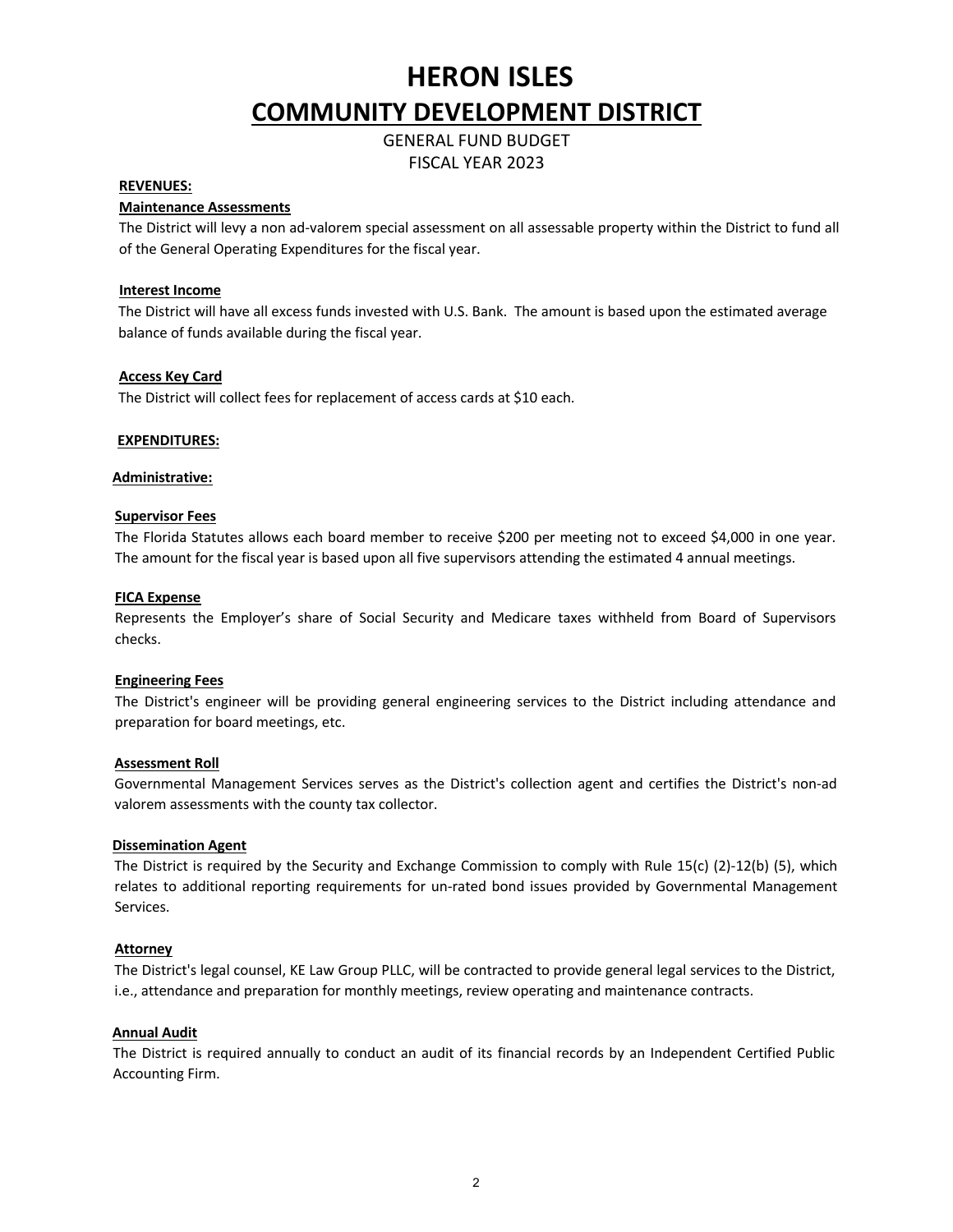GENERAL FUND BUDGET FISCAL YEAR 2023

#### **REVENUES:**

#### **Maintenance Assessments**

The District will levy a non ad-valorem special assessment on all assessable property within the District to fund all of the General Operating Expenditures for the fiscal year.

#### **Interest Income**

The District will have all excess funds invested with U.S. Bank. The amount is based upon the estimated average balance of funds available during the fiscal year.

#### **Access Key Card**

The District will collect fees for replacement of access cards at \$10 each.

#### **EXPENDITURES:**

#### **Administrative:**

#### **Supervisor Fees**

The Florida Statutes allows each board member to receive \$200 per meeting not to exceed \$4,000 in one year. The amount for the fiscal year is based upon all five supervisors attending the estimated 4 annual meetings.

#### **FICA Expense**

Represents the Employer's share of Social Security and Medicare taxes withheld from Board of Supervisors checks.

#### **Engineering Fees**

The District's engineer will be providing general engineering services to the District including attendance and preparation for board meetings, etc.

#### **Assessment Roll**

Governmental Management Services serves as the District's collection agent and certifies the District's non-ad valorem assessments with the county tax collector.

#### **Dissemination Agent**

The District is required by the Security and Exchange Commission to comply with Rule 15(c) (2)-12(b) (5), which relates to additional reporting requirements for un-rated bond issues provided by Governmental Management Services.

#### **Attorney**

The District's legal counsel, KE Law Group PLLC, will be contracted to provide general legal services to the District, i.e., attendance and preparation for monthly meetings, review operating and maintenance contracts.

#### **Annual Audit**

The District is required annually to conduct an audit of its financial records by an Independent Certified Public Accounting Firm.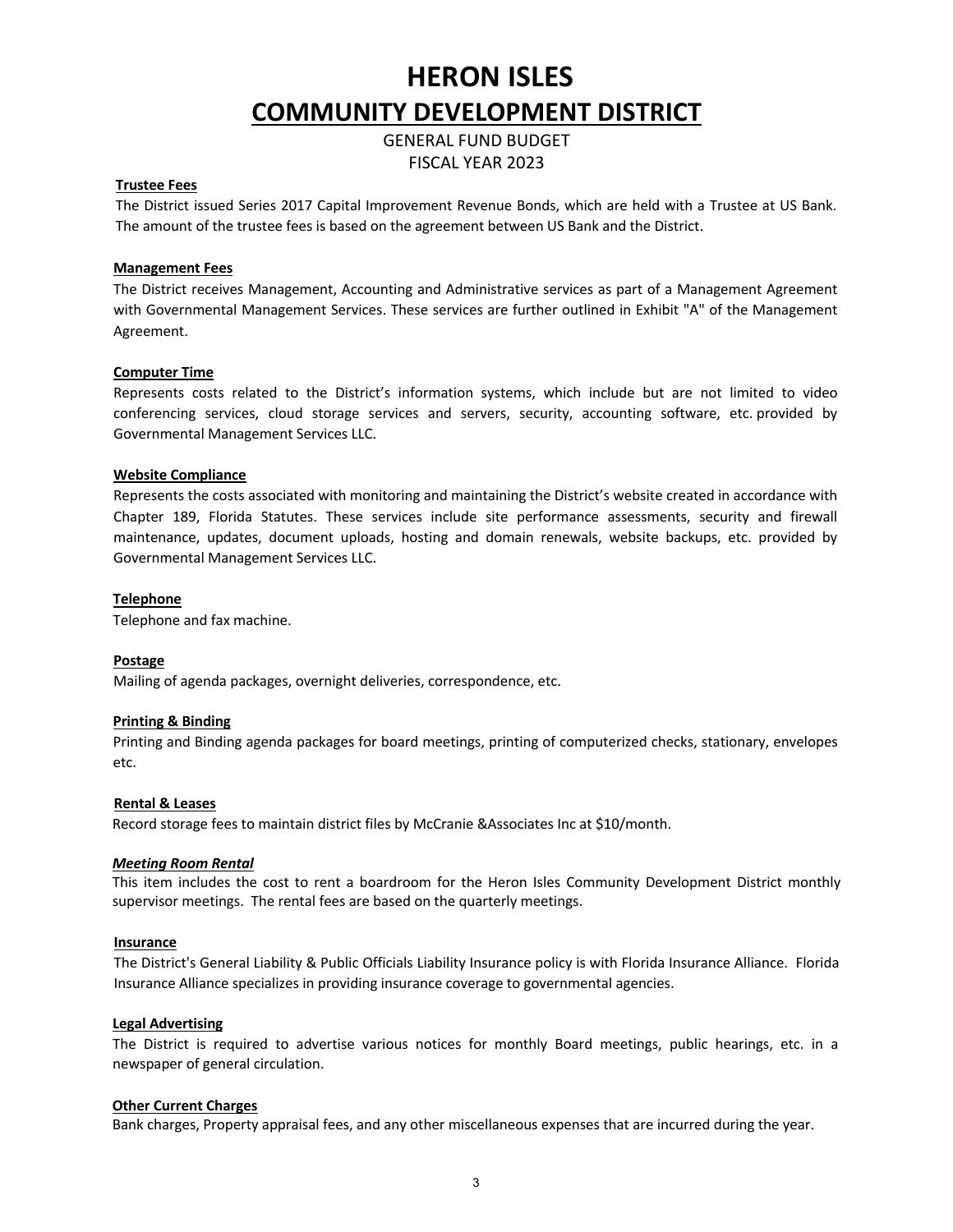GENERAL FUND BUDGET FISCAL YEAR 2023

#### **Trustee Fees**

The District issued Series 2017 Capital Improvement Revenue Bonds, which are held with a Trustee at US Bank. The amount of the trustee fees is based on the agreement between US Bank and the District.

#### **Management Fees**

The District receives Management, Accounting and Administrative services as part of a Management Agreement with Governmental Management Services. These services are further outlined in Exhibit "A" of the Management Agreement.

#### **Computer Time**

Represents costs related to the District's information systems, which include but are not limited to video conferencing services, cloud storage services and servers, security, accounting software, etc. provided by Governmental Management Services LLC.

#### **Website Compliance**

Represents the costs associated with monitoring and maintaining the District's website created in accordance with Chapter 189, Florida Statutes. These services include site performance assessments, security and firewall maintenance, updates, document uploads, hosting and domain renewals, website backups, etc. provided by Governmental Management Services LLC.

#### **Telephone**

Telephone and fax machine.

#### **Postage**

Mailing of agenda packages, overnight deliveries, correspondence, etc.

#### **Printing & Binding**

Printing and Binding agenda packages for board meetings, printing of computerized checks, stationary, envelopes etc.

#### **Rental & Leases**

Record storage fees to maintain district files by McCranie &Associates Inc at \$10/month.

#### *Meeting Room Rental*

This item includes the cost to rent a boardroom for the Heron Isles Community Development District monthly supervisor meetings. The rental fees are based on the quarterly meetings.

#### **Insurance**

The District's General Liability & Public Officials Liability Insurance policy is with Florida Insurance Alliance. Florida Insurance Alliance specializes in providing insurance coverage to governmental agencies.

#### **Legal Advertising**

The District is required to advertise various notices for monthly Board meetings, public hearings, etc. in a newspaper of general circulation.

#### **Other Current Charges**

Bank charges, Property appraisal fees, and any other miscellaneous expenses that are incurred during the year.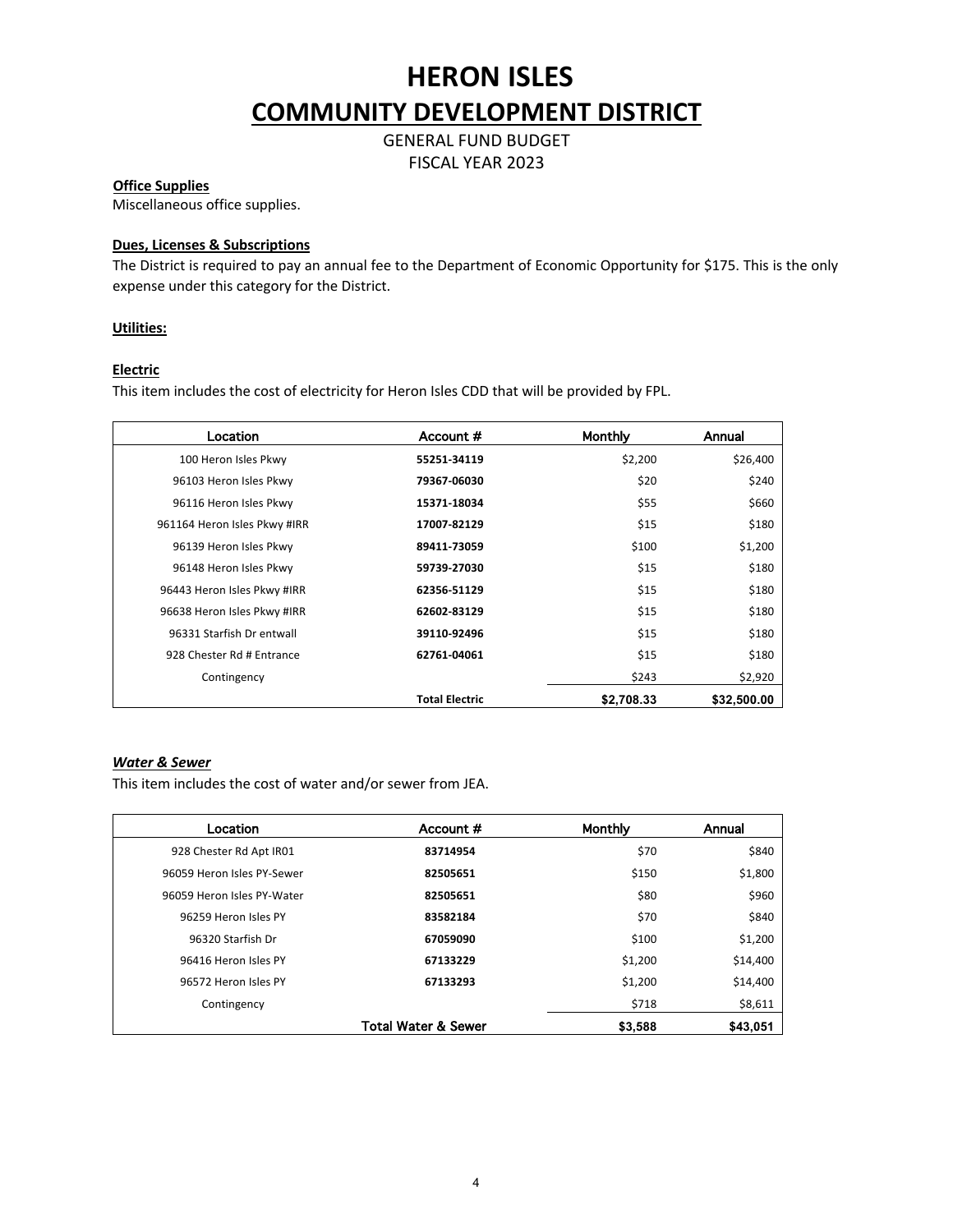GENERAL FUND BUDGET FISCAL YEAR 2023

#### **Office Supplies**

Miscellaneous office supplies.

#### **Dues, Licenses & Subscriptions**

The District is required to pay an annual fee to the Department of Economic Opportunity for \$175. This is the only expense under this category for the District.

#### **Utilities:**

#### **Electric**

This item includes the cost of electricity for Heron Isles CDD that will be provided by FPL.

| Location                     | Account #             | Monthly    | Annual      |
|------------------------------|-----------------------|------------|-------------|
| 100 Heron Isles Pkwy         | 55251-34119           | \$2,200    | \$26,400    |
| 96103 Heron Isles Pkwy       | 79367-06030           | \$20       | \$240       |
| 96116 Heron Isles Pkwy       | 15371-18034           | \$55       | \$660       |
| 961164 Heron Isles Pkwy #IRR | 17007-82129           | \$15       | \$180       |
| 96139 Heron Isles Pkwy       | 89411-73059           | \$100      | \$1,200     |
| 96148 Heron Isles Pkwy       | 59739-27030           | \$15       | \$180       |
| 96443 Heron Isles Pkwy #IRR  | 62356-51129           | \$15       | \$180       |
| 96638 Heron Isles Pkwy #IRR  | 62602-83129           | \$15       | \$180       |
| 96331 Starfish Dr entwall    | 39110-92496           | \$15       | \$180       |
| 928 Chester Rd # Entrance    | 62761-04061           | \$15       | \$180       |
| Contingency                  |                       | \$243      | \$2,920     |
|                              | <b>Total Electric</b> | \$2,708.33 | \$32,500.00 |

### *Water & Sewer*

This item includes the cost of water and/or sewer from JEA.

| Location                   | Account #                      | Monthly | Annual   |
|----------------------------|--------------------------------|---------|----------|
| 928 Chester Rd Apt IR01    | 83714954                       | \$70    | \$840    |
| 96059 Heron Isles PY-Sewer | 82505651                       | \$150   | \$1,800  |
| 96059 Heron Isles PY-Water | 82505651                       | \$80    | \$960    |
| 96259 Heron Isles PY       | 83582184                       | \$70    | \$840    |
| 96320 Starfish Dr          | 67059090                       | \$100   | \$1,200  |
| 96416 Heron Isles PY       | 67133229                       | \$1,200 | \$14,400 |
| 96572 Heron Isles PY       | 67133293                       | \$1,200 | \$14,400 |
| Contingency                |                                | \$718   | \$8,611  |
|                            | <b>Total Water &amp; Sewer</b> | \$3,588 | \$43,051 |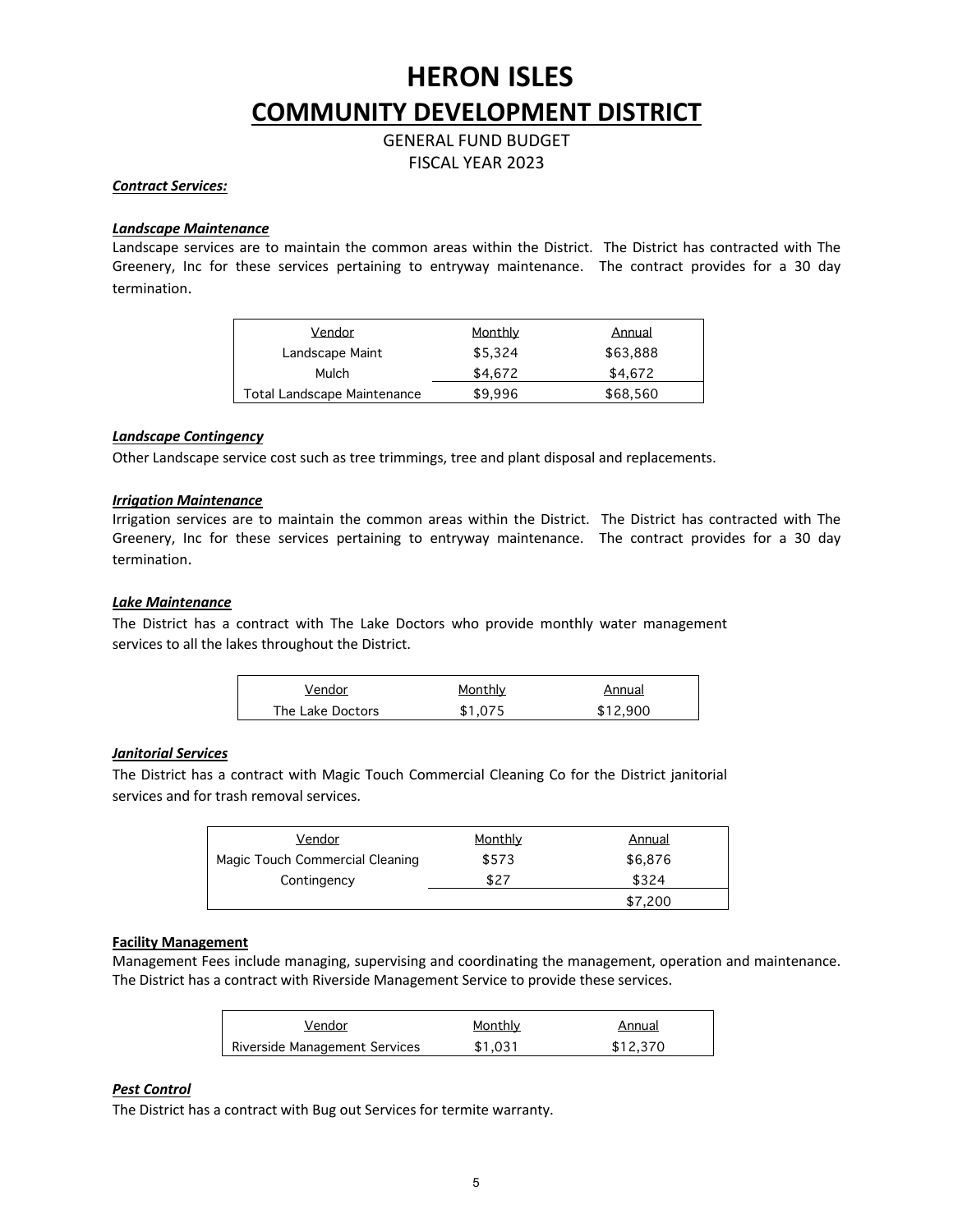GENERAL FUND BUDGET FISCAL YEAR 2023

#### *Contract Services:*

#### *Landscape Maintenance*

Landscape services are to maintain the common areas within the District. The District has contracted with The Greenery, Inc for these services pertaining to entryway maintenance. The contract provides for a 30 day termination.

| Vendor                             | Monthly | Annual   |
|------------------------------------|---------|----------|
| Landscape Maint                    | \$5.324 | \$63,888 |
| Mulch                              | \$4.672 | \$4.672  |
| <b>Total Landscape Maintenance</b> | \$9.996 | \$68,560 |

#### *Landscape Contingency*

Other Landscape service cost such as tree trimmings, tree and plant disposal and replacements.

#### *Irrigation Maintenance*

Irrigation services are to maintain the common areas within the District. The District has contracted with The Greenery, Inc for these services pertaining to entryway maintenance. The contract provides for a 30 day termination.

#### *Lake Maintenance*

The District has a contract with The Lake Doctors who provide monthly water management services to all the lakes throughout the District.

| Vendor           | Monthly | Annual   |
|------------------|---------|----------|
| The Lake Doctors | \$1.075 | \$12,900 |

#### *Janitorial Services*

The District has a contract with Magic Touch Commercial Cleaning Co for the District janitorial services and for trash removal services.

| Vendor                          | Monthly | Annual  |
|---------------------------------|---------|---------|
| Magic Touch Commercial Cleaning | \$573   | \$6,876 |
| Contingency                     | \$27    | \$324   |
|                                 |         | \$7,200 |

#### **Facility Management**

Management Fees include managing, supervising and coordinating the management, operation and maintenance. The District has a contract with Riverside Management Service to provide these services.

| Vendor                        | Monthly | Annual   |
|-------------------------------|---------|----------|
| Riverside Management Services | \$1.031 | \$12,370 |

#### *Pest Control*

The District has a contract with Bug out Services for termite warranty.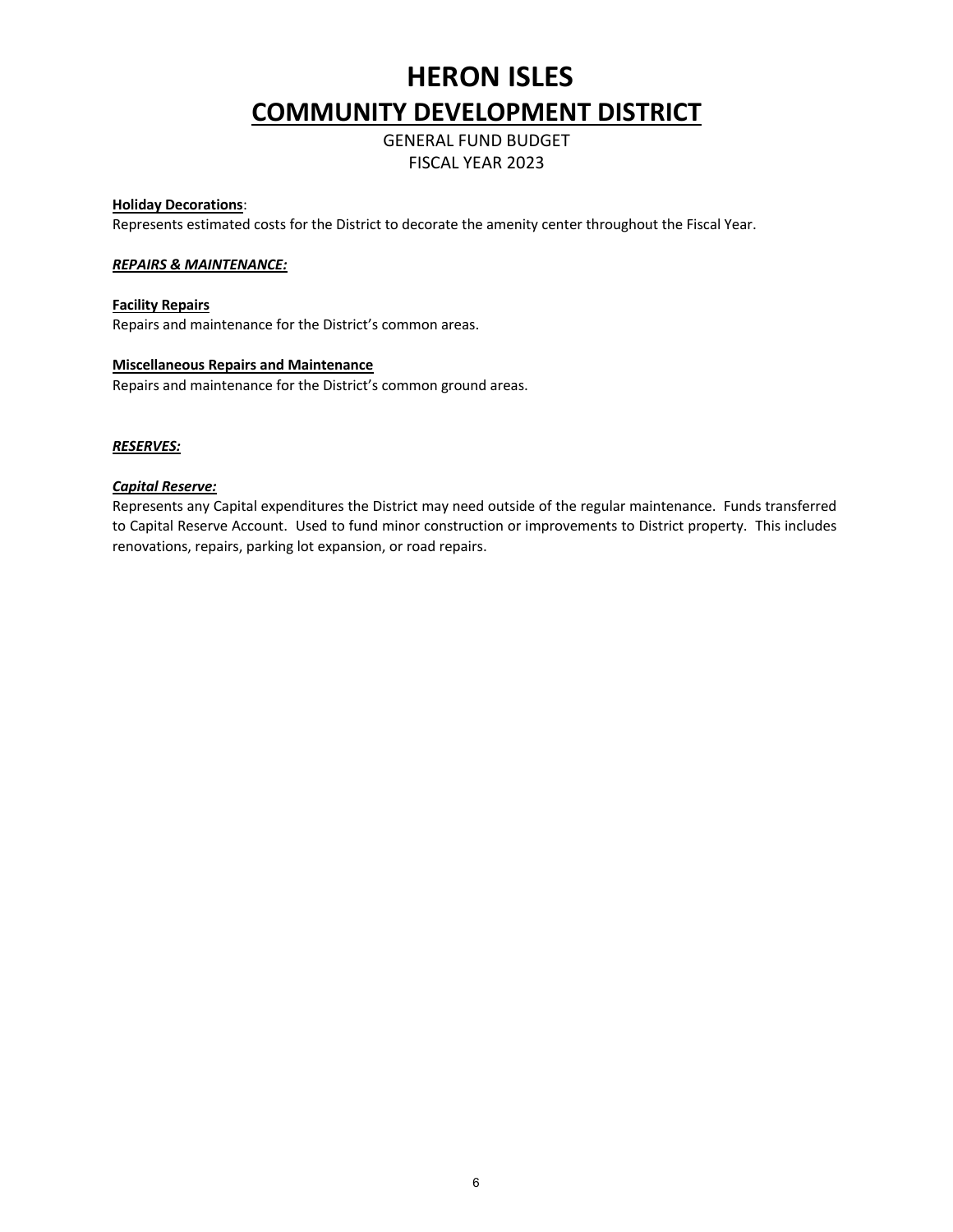GENERAL FUND BUDGET FISCAL YEAR 2023

#### **Holiday Decorations**:

Represents estimated costs for the District to decorate the amenity center throughout the Fiscal Year.

#### *REPAIRS & MAINTENANCE:*

#### **Facility Repairs**

Repairs and maintenance for the District's common areas.

#### **Miscellaneous Repairs and Maintenance**

Repairs and maintenance for the District's common ground areas.

#### *RESERVES:*

#### *Capital Reserve:*

Represents any Capital expenditures the District may need outside of the regular maintenance. Funds transferred to Capital Reserve Account. Used to fund minor construction or improvements to District property. This includes renovations, repairs, parking lot expansion, or road repairs.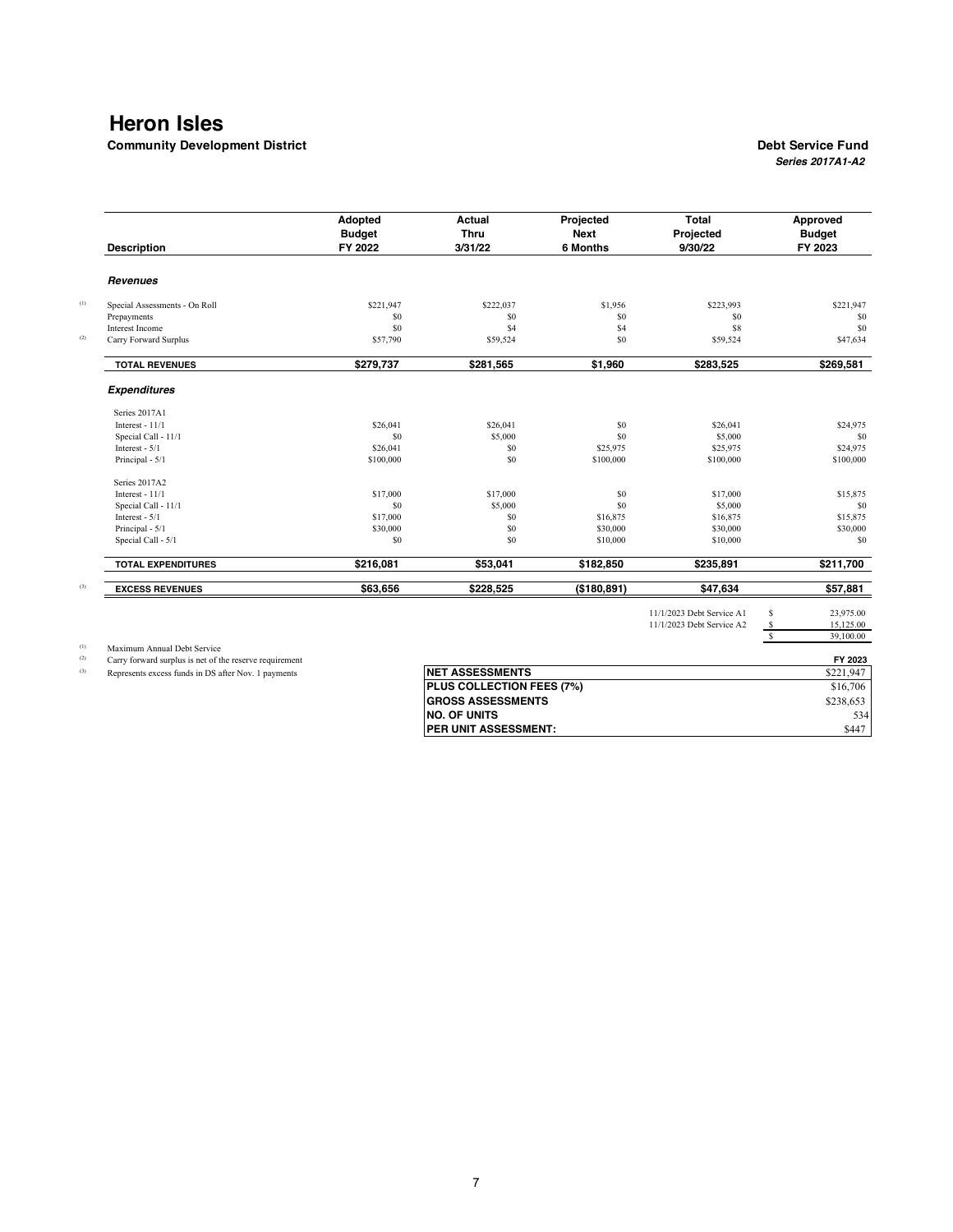**Community Development District Debt Service Fund** 

## *Series 2017A1-A2*

| <b>Description</b>                                      | Adopted<br><b>Budget</b><br>FY 2022 | Actual<br><b>Thru</b><br>3/31/22 | Projected<br><b>Next</b><br>6 Months | <b>Total</b><br>Projected<br>9/30/22 | Approved<br><b>Budget</b><br>FY 2023 |
|---------------------------------------------------------|-------------------------------------|----------------------------------|--------------------------------------|--------------------------------------|--------------------------------------|
| <b>Revenues</b>                                         |                                     |                                  |                                      |                                      |                                      |
| Special Assessments - On Roll                           | \$221,947                           | \$222,037                        | \$1,956                              | \$223,993                            | \$221,947                            |
| Prepayments                                             | \$0                                 | \$0                              | \$0                                  | \$0                                  | \$0                                  |
| Interest Income                                         | <b>SO</b>                           | \$4                              | \$4                                  | \$8                                  | \$0                                  |
| Carry Forward Surplus                                   | \$57,790                            | \$59,524                         | S <sub>0</sub>                       | \$59,524                             | \$47,634                             |
| <b>TOTAL REVENUES</b>                                   | \$279,737                           | \$281,565                        | \$1,960                              | \$283,525                            | \$269,581                            |
| <b>Expenditures</b>                                     |                                     |                                  |                                      |                                      |                                      |
| Series 2017A1                                           |                                     |                                  |                                      |                                      |                                      |
| Interest - $11/1$                                       | \$26,041                            | \$26,041                         | \$0                                  | \$26,041                             | \$24,975                             |
| Special Call - 11/1                                     | \$0                                 | \$5,000                          | \$0                                  | \$5,000                              | \$0                                  |
| Interest - $5/1$                                        | \$26,041                            | \$0                              | \$25,975                             | \$25,975                             | \$24,975                             |
| Principal - 5/1                                         | \$100,000                           | \$0                              | \$100,000                            | \$100,000                            | \$100,000                            |
| Series 2017A2                                           |                                     |                                  |                                      |                                      |                                      |
| Interest - $11/1$                                       | \$17,000                            | \$17,000                         | \$0                                  | \$17,000                             | \$15,875                             |
| Special Call - 11/1                                     | S <sub>0</sub>                      | \$5,000                          | \$0                                  | \$5,000                              | \$0                                  |
| Interest - $5/1$                                        | \$17,000                            | S <sub>0</sub>                   | \$16,875                             | \$16,875                             | \$15,875                             |
| Principal - 5/1                                         | \$30,000                            | \$0                              | \$30,000                             | \$30,000                             | \$30,000                             |
| Special Call - 5/1                                      | S <sub>0</sub>                      | \$0                              | \$10,000                             | \$10,000                             | \$0                                  |
| <b>TOTAL EXPENDITURES</b>                               | \$216,081                           | \$53,041                         | \$182,850                            | \$235,891                            | \$211,700                            |
| <b>EXCESS REVENUES</b>                                  | \$63,656                            | \$228,525                        | (\$180,891)                          | \$47,634                             | \$57,881                             |
|                                                         |                                     |                                  |                                      | 11/1/2023 Debt Service A1            | \$<br>23,975.00                      |
|                                                         |                                     |                                  |                                      | 11/1/2023 Debt Service A2            | \$<br>15,125.00                      |
|                                                         |                                     |                                  |                                      |                                      | $\overline{\mathbf{s}}$<br>39,100.00 |
| Maximum Annual Debt Service                             |                                     |                                  |                                      |                                      |                                      |
| Carry forward surplus is net of the reserve requirement |                                     |                                  |                                      |                                      | FY 2023                              |
| Represents excess funds in DS after Nov. 1 payments     |                                     | <b>NET ASSESSMENTS</b>           |                                      |                                      | \$221,947                            |
|                                                         |                                     | PLUS COLLECTION FEES (7%)        |                                      |                                      | \$16,706                             |
|                                                         |                                     | <b>GROSS ASSESSMENTS</b>         |                                      |                                      | \$238,653                            |
|                                                         |                                     | <b>NO. OF UNITS</b>              |                                      |                                      | 534                                  |

**PER UNIT ASSESSMENT:**  $\$447$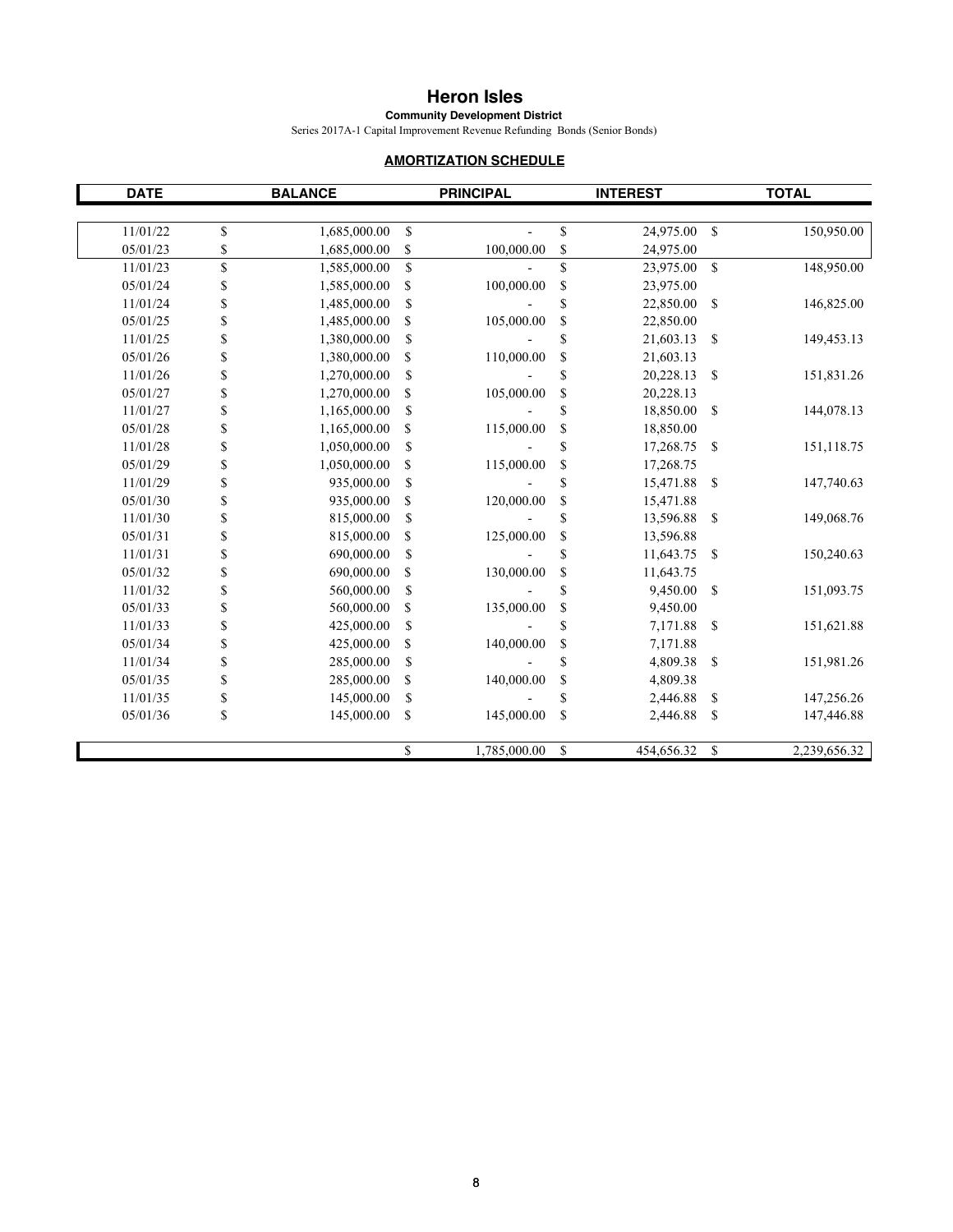**Community Development District**

Series 2017A-1 Capital Improvement Revenue Refunding Bonds (Senior Bonds)

### **AMORTIZATION SCHEDULE**

| <b>DATE</b> | <b>BALANCE</b>     |                           | <b>PRINCIPAL</b> |          | <b>INTEREST</b> |               | <b>TOTAL</b> |
|-------------|--------------------|---------------------------|------------------|----------|-----------------|---------------|--------------|
| 11/01/22    | \$<br>1,685,000.00 | \$                        |                  | \$       | 24,975.00       | $\mathbb{S}$  | 150,950.00   |
| 05/01/23    | \$<br>1,685,000.00 | \$                        | 100,000.00       | \$       | 24,975.00       |               |              |
| 11/01/23    | \$<br>1,585,000.00 | \$                        |                  | \$       | 23,975.00       | $\mathbb S$   | 148,950.00   |
| 05/01/24    | \$<br>1,585,000.00 | \$                        | 100,000.00       | \$       | 23,975.00       |               |              |
| 11/01/24    | \$<br>1,485,000.00 | \$                        |                  | \$       | 22,850.00       | \$            | 146,825.00   |
| 05/01/25    | \$<br>1,485,000.00 | \$                        | 105,000.00       | \$       | 22,850.00       |               |              |
| 11/01/25    | \$<br>1,380,000.00 | $\boldsymbol{\mathsf{S}}$ |                  | \$       | 21,603.13       | \$            | 149,453.13   |
| 05/01/26    | \$<br>1,380,000.00 | \$                        | 110,000.00       | \$       | 21,603.13       |               |              |
| 11/01/26    | \$<br>1,270,000.00 | \$                        |                  | \$       | 20,228.13       | \$            | 151,831.26   |
| 05/01/27    |                    | \$                        | 105,000.00       |          | 20,228.13       |               |              |
| 11/01/27    | \$<br>1,270,000.00 |                           |                  | \$<br>\$ |                 | \$            |              |
|             | \$<br>1,165,000.00 | \$                        |                  |          | 18,850.00       |               | 144,078.13   |
| 05/01/28    | \$<br>1,165,000.00 | \$                        | 115,000.00       | \$       | 18,850.00       |               |              |
| 11/01/28    | \$<br>1,050,000.00 | \$                        |                  | \$       | 17,268.75       | \$            | 151,118.75   |
| 05/01/29    | \$<br>1,050,000.00 | \$                        | 115,000.00       | \$       | 17,268.75       |               |              |
| 11/01/29    | \$<br>935,000.00   | \$                        |                  | \$       | 15,471.88       | \$            | 147,740.63   |
| 05/01/30    | \$<br>935,000.00   | \$                        | 120,000.00       | \$       | 15,471.88       |               |              |
| 11/01/30    | \$<br>815,000.00   | \$                        |                  | \$       | 13,596.88       | $\mathbb{S}$  | 149,068.76   |
| 05/01/31    | \$<br>815,000.00   | \$                        | 125,000.00       | \$       | 13,596.88       |               |              |
| 11/01/31    | \$<br>690,000.00   | \$                        |                  | \$       | 11,643.75       | <sup>\$</sup> | 150,240.63   |
| 05/01/32    | \$<br>690,000.00   | \$                        | 130,000.00       | \$       | 11,643.75       |               |              |
| 11/01/32    | \$<br>560,000.00   | \$                        |                  | \$       | 9,450.00        | \$            | 151,093.75   |
| 05/01/33    | \$<br>560,000.00   | \$                        | 135,000.00       | \$       | 9,450.00        |               |              |
| 11/01/33    | \$<br>425,000.00   | \$                        |                  | \$       | 7,171.88        | $\mathbb{S}$  | 151,621.88   |
| 05/01/34    | \$<br>425,000.00   | \$                        | 140,000.00       | \$       | 7,171.88        |               |              |
| 11/01/34    | \$<br>285,000.00   | \$                        |                  | \$       | 4,809.38        | \$            | 151,981.26   |
| 05/01/35    | \$<br>285,000.00   | \$                        | 140,000.00       | \$       | 4,809.38        |               |              |
| 11/01/35    | \$<br>145,000.00   | \$                        |                  | \$       | 2,446.88        | \$            | 147,256.26   |
| 05/01/36    | \$<br>145,000.00   | \$                        | 145,000.00       | \$       | 2,446.88        | \$            | 147,446.88   |
|             |                    | \$                        | 1,785,000.00     | \$       | 454,656.32      | \$            | 2,239,656.32 |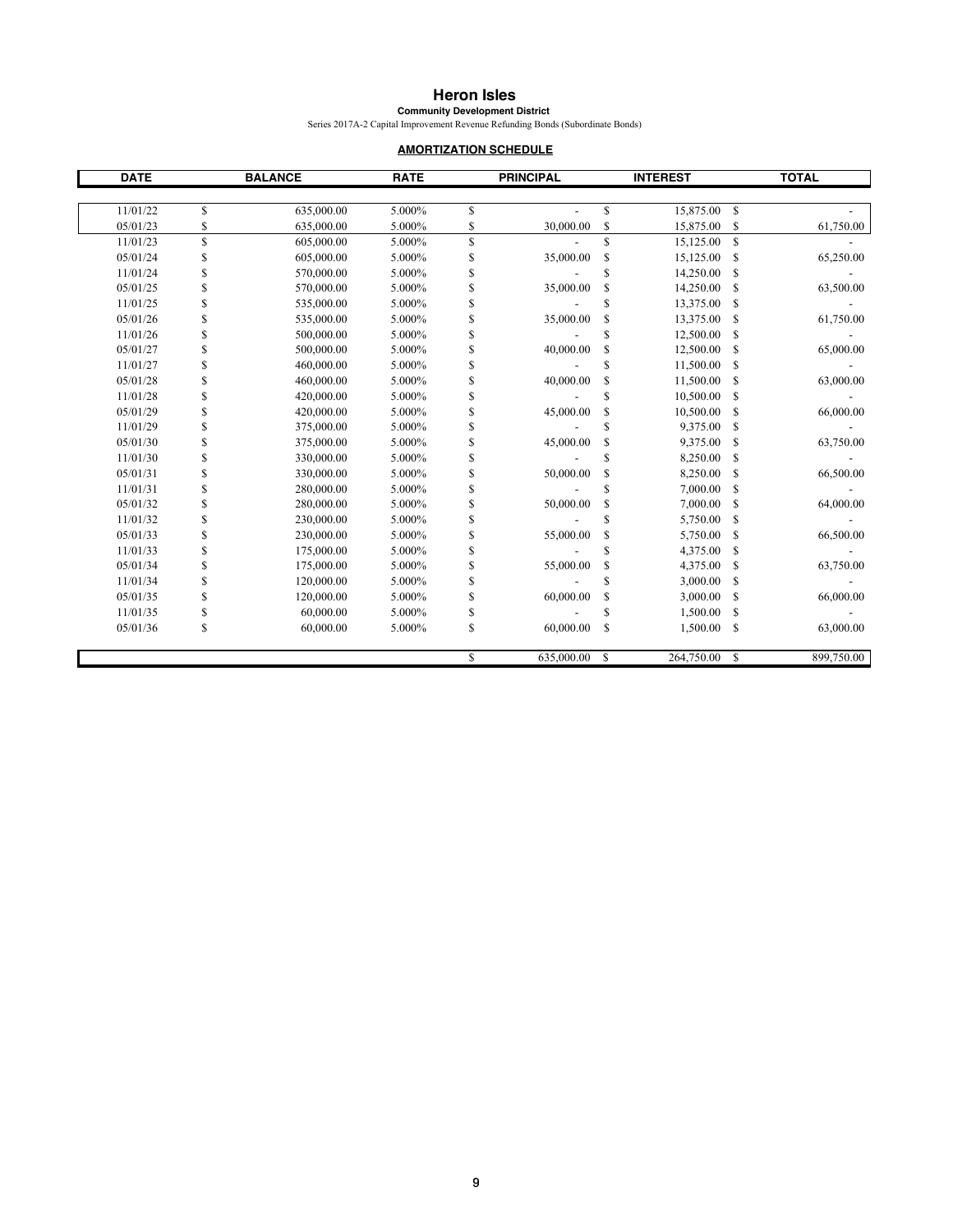**Community Development District** Series 2017A-2 Capital Improvement Revenue Refunding Bonds (Subordinate Bonds)

#### **AMORTIZATION SCHEDULE**

| <b>DATE</b> |    | <b>BALANCE</b> | <b>RATE</b> |              | <b>PRINCIPAL</b> |             | <b>INTEREST</b> |               | <b>TOTAL</b> |
|-------------|----|----------------|-------------|--------------|------------------|-------------|-----------------|---------------|--------------|
|             |    |                |             |              |                  |             |                 |               |              |
| 11/01/22    | \$ | 635,000.00     | 5.000%      | $\mathbb{S}$ |                  | \$          | 15,875.00       | $\mathbb{S}$  |              |
| 05/01/23    | \$ | 635,000.00     | 5.000%      | \$           | 30,000.00        | \$          | 15,875.00       | \$            | 61,750.00    |
| 11/01/23    | \$ | 605,000.00     | 5.000%      | $\mathbf S$  |                  | \$          | 15,125.00       | <sup>\$</sup> |              |
| 05/01/24    | \$ | 605,000.00     | 5.000%      | \$           | 35,000.00        | \$          | 15,125.00       | S             | 65,250.00    |
| 11/01/24    | \$ | 570,000.00     | 5.000%      | S            |                  | \$          | 14,250.00       | \$            |              |
| 05/01/25    | \$ | 570,000.00     | 5.000%      | \$           | 35,000.00        | \$          | 14,250.00       | S             | 63,500.00    |
| 11/01/25    | S  | 535,000.00     | 5.000%      | \$           |                  | \$          | 13,375.00       | \$            |              |
| 05/01/26    | S  | 535,000.00     | 5.000%      | \$           | 35,000.00        | \$          | 13,375.00       | \$            | 61,750.00    |
| 11/01/26    | \$ | 500,000.00     | 5.000%      | \$           |                  | \$          | 12,500.00       | \$            |              |
| 05/01/27    | \$ | 500,000.00     | 5.000%      | \$           | 40,000.00        | \$          | 12,500.00       | \$            | 65,000.00    |
| 11/01/27    | \$ | 460,000.00     | 5.000%      | \$           |                  | \$          | 11,500.00       | S             |              |
| 05/01/28    | S  | 460,000.00     | 5.000%      | S            | 40,000.00        | \$          | 11,500.00       | S             | 63,000.00    |
| 11/01/28    | \$ | 420,000.00     | 5.000%      | \$           |                  | \$          | 10,500.00       | \$            |              |
| 05/01/29    | S  | 420,000.00     | 5.000%      | \$           | 45,000.00        | \$          | 10,500.00       | S             | 66,000.00    |
| 11/01/29    | \$ | 375,000.00     | 5.000%      | \$           |                  | \$          | 9,375.00        | \$            |              |
| 05/01/30    | \$ | 375,000.00     | 5.000%      | \$           | 45,000.00        | \$          | 9,375.00        | S             | 63,750.00    |
| 11/01/30    | S  | 330,000.00     | 5.000%      | \$           |                  | \$          | 8,250.00        | \$            |              |
| 05/01/31    | \$ | 330,000.00     | 5.000%      | \$           | 50,000.00        | \$          | 8,250.00        | \$            | 66,500.00    |
| 11/01/31    | \$ | 280,000.00     | 5.000%      | \$           |                  | \$          | 7,000.00        | \$            |              |
| 05/01/32    | S  | 280,000.00     | 5.000%      | \$           | 50,000.00        | \$          | 7,000.00        | \$            | 64,000.00    |
| 11/01/32    | \$ | 230,000.00     | 5.000%      | \$           |                  | \$          | 5,750.00        | S             |              |
| 05/01/33    | \$ | 230,000.00     | 5.000%      | \$           | 55,000.00        | \$          | 5,750.00        | S             | 66,500.00    |
| 11/01/33    | S  | 175,000.00     | 5.000%      | \$           |                  | \$          | 4,375.00        | S             |              |
| 05/01/34    | \$ | 175,000.00     | 5.000%      | \$           | 55,000.00        | \$          | 4,375.00        | \$            | 63,750.00    |
| 11/01/34    | S  | 120,000.00     | 5.000%      | \$           |                  | \$          | 3,000.00        | S             |              |
| 05/01/35    | S  | 120,000.00     | 5.000%      | \$           | 60,000.00        | \$          | 3,000.00        | S             | 66,000.00    |
| 11/01/35    | \$ | 60,000.00      | 5.000%      | \$           |                  | \$          | 1,500.00        | S             |              |
| 05/01/36    | \$ | 60,000.00      | 5.000%      | S            | 60,000.00        | $\mathbf S$ | 1,500.00        | S             | 63,000.00    |
|             |    |                |             | S            | 635,000.00       | $\mathbf S$ | 264,750.00      | <sup>\$</sup> | 899,750.00   |